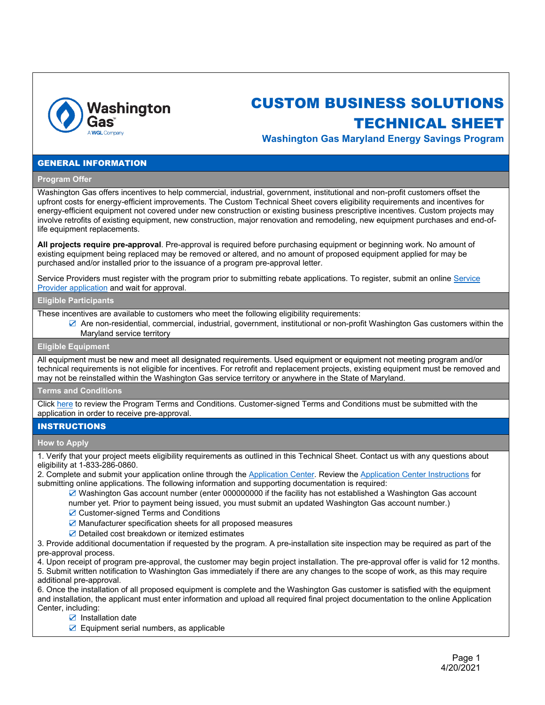

# CUSTOM BUSINESS SOLUTIONS

# TECHNICAL SHEET

**Washington Gas Maryland Energy Savings Program**

#### GENERAL INFORMATION

#### **Program Offer**

Washington Gas offers incentives to help commercial, industrial, government, institutional and non-profit customers offset the upfront costs for energy-efficient improvements. The Custom Technical Sheet covers eligibility requirements and incentives for energy-efficient equipment not covered under new construction or existing business prescriptive incentives. Custom projects may involve retrofits of existing equipment, new construction, major renovation and remodeling, new equipment purchases and end-oflife equipment replacements.

**All projects require pre-approval**. Pre-approval is required before purchasing equipment or beginning work. No amount of existing equipment being replaced may be removed or altered, and no amount of proposed equipment applied for may be purchased and/or installed prior to the issuance of a program pre-approval letter.

Service Providers must register with the program prior to submitting rebate applications. To register, submit an online [Service](https://wgcp.programprocessing.com/)  [Provider application](https://wgcp.programprocessing.com/) and wait for approval.

### **Eligible Participants**

These incentives are available to customers who meet the following eligibility requirements:

☑ Are non-residential, commercial, industrial, government, institutional or non-profit Washington Gas customers within the Maryland service territory

#### **Eligible Equipment**

All equipment must be new and meet all designated requirements. Used equipment or equipment not meeting program and/or technical requirements is not eligible for incentives. For retrofit and replacement projects, existing equipment must be removed and may not be reinstalled within the Washington Gas service territory or anywhere in the State of Maryland.

#### **Terms and Conditions**

Click [here](https://wgcommercial-eb.programprocessing.com/download/WG_CI_Terms_and_Conditions_Fillable.pdf) to review the Program Terms and Conditions. Customer-signed Terms and Conditions must be submitted with the application in order to receive pre-approval.

#### **INSTRUCTIONS**

#### **How to Apply**

1. Verify that your project meets eligibility requirements as outlined in this Technical Sheet. Contact us with any questions about eligibility at 1-833-286-0860.

2. Complete and submit your application online through th[e Application Center.](https://wgcommercial-custom.programprocessing.com/programapplication/?ft=930815AB96BB426180D8F451DE73975F) Review the [Application Center Instructions](https://wgcommercial-custom.programprocessing.com/framework/washingtongas/WG_App_Center_Instructions.pdf) for submitting online applications. The following information and supporting documentation is required:

☑ Washington Gas account number (enter 000000000 if the facility has not established a Washington Gas account number yet. Prior to payment being issued, you must submit an updated Washington Gas account number.)

- ☑ Customer-signed Terms and Conditions
- ☑ Manufacturer specification sheets for all proposed measures
- ☑ Detailed cost breakdown or itemized estimates

3. Provide additional documentation if requested by the program. A pre-installation site inspection may be required as part of the pre-approval process.

4. Upon receipt of program pre-approval, the customer may begin project installation. The pre-approval offer is valid for 12 months. 5. Submit written notification to Washington Gas immediately if there are any changes to the scope of work, as this may require additional pre-approval.

6. Once the installation of all proposed equipment is complete and the Washington Gas customer is satisfied with the equipment and installation, the applicant must enter information and upload all required final project documentation to the online Application Center, including:

- ☑ Installation date
- ☑ Equipment serial numbers, as applicable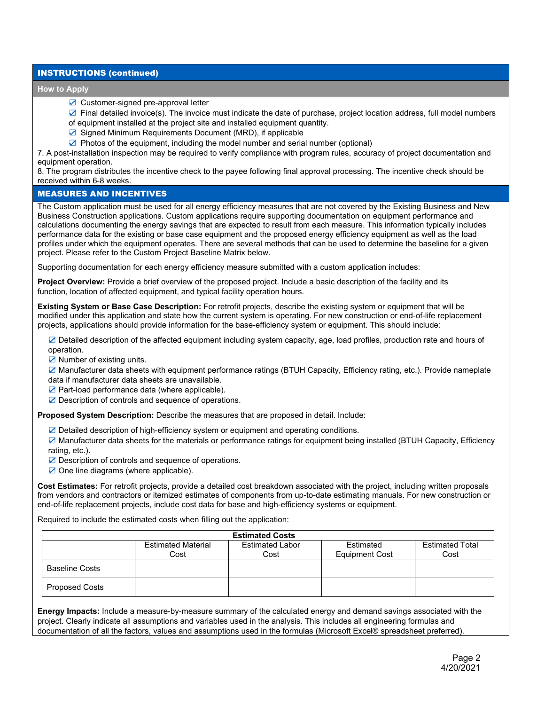## INSTRUCTIONS (continued)

#### **How to Apply**

☑ Customer-signed pre-approval letter

☑ Final detailed invoice(s). The invoice must indicate the date of purchase, project location address, full model numbers of equipment installed at the project site and installed equipment quantity.

- ☑ Signed Minimum Requirements Document (MRD), if applicable
- ☑ Photos of the equipment, including the model number and serial number (optional)

7. A post-installation inspection may be required to verify compliance with program rules, accuracy of project documentation and equipment operation.

8. The program distributes the incentive check to the payee following final approval processing. The incentive check should be received within 6-8 weeks.

# MEASURES AND INCENTIVES

The Custom application must be used for all energy efficiency measures that are not covered by the Existing Business and New Business Construction applications. Custom applications require supporting documentation on equipment performance and calculations documenting the energy savings that are expected to result from each measure. This information typically includes performance data for the existing or base case equipment and the proposed energy efficiency equipment as well as the load profiles under which the equipment operates. There are several methods that can be used to determine the baseline for a given project. Please refer to the Custom Project Baseline Matrix below.

Supporting documentation for each energy efficiency measure submitted with a custom application includes:

**Project Overview:** Provide a brief overview of the proposed project. Include a basic description of the facility and its function, location of affected equipment, and typical facility operation hours.

**Existing System or Base Case Description:** For retrofit projects, describe the existing system or equipment that will be modified under this application and state how the current system is operating. For new construction or end-of-life replacement projects, applications should provide information for the base-efficiency system or equipment. This should include:

☑ Detailed description of the affected equipment including system capacity, age, load profiles, production rate and hours of operation.

☑ Number of existing units.

☑ Manufacturer data sheets with equipment performance ratings (BTUH Capacity, Efficiency rating, etc.). Provide nameplate data if manufacturer data sheets are unavailable.

- ☑ Part-load performance data (where applicable).
- ☑ Description of controls and sequence of operations.

**Proposed System Description:** Describe the measures that are proposed in detail. Include:

☑ Detailed description of high-efficiency system or equipment and operating conditions.

☑ Manufacturer data sheets for the materials or performance ratings for equipment being installed (BTUH Capacity, Efficiency rating, etc.).

- ☑ Description of controls and sequence of operations.
- ☑ One line diagrams (where applicable).

**Cost Estimates:** For retrofit projects, provide a detailed cost breakdown associated with the project, including written proposals from vendors and contractors or itemized estimates of components from up-to-date estimating manuals. For new construction or end-of-life replacement projects, include cost data for base and high-efficiency systems or equipment.

Required to include the estimated costs when filling out the application:

| <b>Estimated Costs</b> |                                   |                                |                                    |                                |  |  |
|------------------------|-----------------------------------|--------------------------------|------------------------------------|--------------------------------|--|--|
|                        | <b>Estimated Material</b><br>Cost | <b>Estimated Labor</b><br>Cost | Estimated<br><b>Equipment Cost</b> | <b>Estimated Total</b><br>Cost |  |  |
| <b>Baseline Costs</b>  |                                   |                                |                                    |                                |  |  |
| Proposed Costs         |                                   |                                |                                    |                                |  |  |

**Energy Impacts:** Include a measure-by-measure summary of the calculated energy and demand savings associated with the project. Clearly indicate all assumptions and variables used in the analysis. This includes all engineering formulas and documentation of all the factors, values and assumptions used in the formulas (Microsoft Excel® spreadsheet preferred).